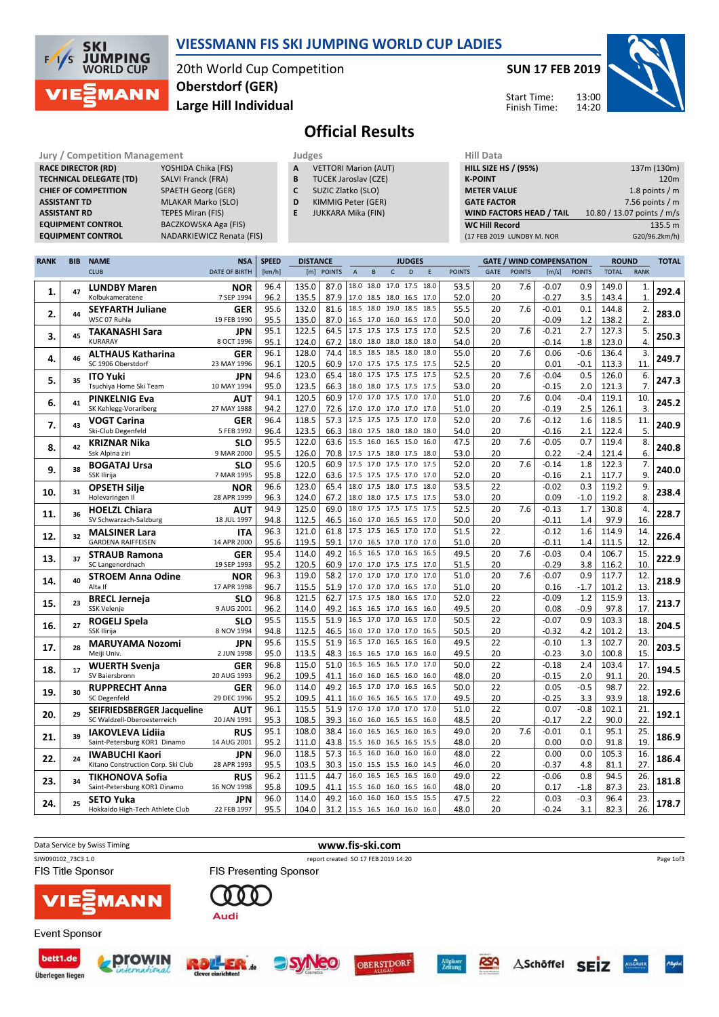

Überlegen liegen

## VIESSMANN FIS SKI JUMPING WORLD CUP LADIES

20th World Cup Competition Large Hill Individual Oberstdorf (GER)

#### SUN 17 FEB 2019



Start Time: Finish Time:

# Official Results

| <b>Jury / Competition Management</b> |                                  |   | Judges                      | <b>Hill Data</b>   |
|--------------------------------------|----------------------------------|---|-----------------------------|--------------------|
| <b>RACE DIRECTOR (RD)</b>            | YOSHIDA Chika (FIS)              | A | <b>VETTORI Marion (AUT)</b> | <b>HILL SIZE H</b> |
| <b>TECHNICAL DELEGATE (TD)</b>       | <b>SALVI Franck (FRA)</b>        | B | <b>TUCEK Jaroslav (CZE)</b> | <b>K-POINT</b>     |
| <b>CHIEF OF COMPETITION</b>          | <b>SPAETH Georg (GER)</b>        | C | SUZIC Zlatko (SLO)          | <b>METER VA</b>    |
| <b>ASSISTANT TD</b>                  | <b>MLAKAR Marko (SLO)</b>        | D | KIMMIG Peter (GER)          | <b>GATE FACT</b>   |
| <b>ASSISTANT RD</b>                  | TEPES Miran (FIS)                | Е | JUKKARA Mika (FIN)          | <b>WIND FAC</b>    |
| <b>EQUIPMENT CONTROL</b>             | BACZKOWSKA Aga (FIS)             |   |                             | <b>WC Hill Re</b>  |
| <b>EQUIPMENT CONTROL</b>             | <b>NADARKIEWICZ Renata (FIS)</b> |   |                             | (17 FEB 2019       |

- TUCEK Jaroslav (CZE)
- SUZIC Zlatko (SLO) KIMMIG Peter (GER)
- 
- JUKKARA Mika (FIN)

| <b>HILL SIZE HS / (95%)</b>     | 137m (130m)                |
|---------------------------------|----------------------------|
| <b>K-POINT</b>                  | 120 <sub>m</sub>           |
| <b>METER VALUE</b>              | 1.8 points $/m$            |
| <b>GATE FACTOR</b>              | 7.56 points $/m$           |
| <b>WIND FACTORS HEAD / TAIL</b> | 10.80 / 13.07 points / m/s |
| <b>WC Hill Record</b>           | 135.5 m                    |
| (17 FEB 2019 LUNDBY M. NOR      | G20/96.2km/h)              |

| <b>RANK</b> | <b>BIB</b> | <b>NAME</b>                                                 | <b>NSA</b>                | <b>SPEED</b> | <b>DISTANCE</b> |               |                |           | <b>JUDGES</b>                              |              |               |             | <b>GATE / WIND COMPENSATION</b> |                 |               | <b>ROUND</b>   |                  | <b>TOTAL</b> |
|-------------|------------|-------------------------------------------------------------|---------------------------|--------------|-----------------|---------------|----------------|-----------|--------------------------------------------|--------------|---------------|-------------|---------------------------------|-----------------|---------------|----------------|------------------|--------------|
|             |            | <b>CLUB</b>                                                 | <b>DATE OF BIRTH</b>      | [km/h]       | [m]             | <b>POINTS</b> | $\mathsf{A}$   | B         | D<br>$\mathsf{C}$                          | E            | <b>POINTS</b> | <b>GATE</b> | <b>POINTS</b>                   | [m/s]           | <b>POINTS</b> | <b>TOTAL</b>   | <b>RANK</b>      |              |
|             |            | <b>LUNDBY Maren</b>                                         | NOR                       | 96.4         | 135.0           | 87.0          |                |           | 18.0 18.0 17.0 17.5                        | 18.0         | 53.5          | 20          | 7.6                             | $-0.07$         | 0.9           | 149.0          | 1.               |              |
| 1.          | 47         | Kolbukameratene                                             | 7 SEP 1994                | 96.2         | 135.5           | 87.9          |                |           | 17.0 18.5 18.0 16.5                        | 17.0         | 52.0          | 20          |                                 | $-0.27$         | 3.5           | 143.4          | $\mathbf{1}$     | 292.4        |
|             | 44         | <b>SEYFARTH Juliane</b>                                     | GER                       | 95.6         | 132.0           | 81.6          |                |           | 18.5 18.0 19.0 18.5                        | 18.5         | 55.5          | 20          | 7.6                             | $-0.01$         | 0.1           | 144.8          | 2.               | 283.0        |
| 2.          |            | WSC 07 Ruhla                                                | 19 FEB 1990               | 95.5         | 135.0           | 87.0          |                |           | 16.5 17.0 16.0 16.5 17.0                   |              | 50.0          | 20          |                                 | $-0.09$         | 1.2           | 138.2          | 2.               |              |
| 3.          | 45         | TAKANASHI Sara                                              | JPN                       | 95.1         | 122.5           | 64.5          |                |           | 17.5 17.5 17.5 17.5                        | 17.0         | 52.5          | 20          | 7.6                             | $-0.21$         | 2.7           | 127.3          | 5.               | 250.3        |
|             |            | <b>KURARAY</b>                                              | 8 OCT 1996                | 95.1         | 124.0           | 67.2          |                |           | 18.0 18.0 18.0 18.0                        | 18.0         | 54.0          | 20          |                                 | $-0.14$         | 1.8           | 123.0          | 4.               |              |
| 4.          | 46         | <b>ALTHAUS Katharina</b>                                    | <b>GER</b>                | 96.1         | 128.0           | 74.4          |                |           | 18.5 18.5 18.5 18.0                        | 18.0         | 55.0          | 20          | 7.6                             | 0.06            | $-0.6$        | 136.4          | $\overline{3}$ . | 249.7        |
|             |            | SC 1906 Oberstdorf                                          | 23 MAY 1996               | 96.1         | 120.5           | 60.9          |                |           | 17.0 17.5 17.5 17.5 17.5                   |              | 52.5          | 20          |                                 | 0.01            | $-0.1$        | 113.3          | 11.              |              |
| 5.          | 35         | <b>ITO Yuki</b>                                             | JPN                       | 94.6         | 123.0           | 65.4          |                |           | 18.0 17.5 17.5 17.5                        | 17.5         | 52.5          | 20          | 7.6                             | $-0.04$         | 0.5           | 126.0          | 6.<br>7.         | 247.3        |
|             |            | Tsuchiya Home Ski Team                                      | 10 MAY 1994               | 95.0<br>94.1 | 123.5<br>120.5  | 66.3<br>60.9  |                |           | 18.0 18.0 17.5 17.5<br>17.0 17.0 17.5 17.0 | 17.5<br>17.0 | 53.0<br>51.0  | 20<br>20    | 7.6                             | $-0.15$<br>0.04 | 2.0<br>$-0.4$ | 121.3<br>119.1 | 10.              |              |
| 6.          | 41         | <b>PINKELNIG Eva</b><br>SK Kehlegg-Vorarlberg               | AUT<br>27 MAY 1988        | 94.2         | 127.0           | 72.6          |                |           | 17.0 17.0 17.0 17.0                        | 17.0         | 51.0          | 20          |                                 | $-0.19$         | 2.5           | 126.1          | 3.               | 245.2        |
|             |            | <b>VOGT Carina</b>                                          | GER                       | 96.4         | 118.5           | 57.3          | 17.5 17.5 17.5 |           | 17.0                                       | 17.0         | 52.0          | 20          | 7.6                             | $-0.12$         | 1.6           | 118.5          | 11.              |              |
| 7.          | 43         | Ski-Club Degenfeld                                          | 5 FEB 1992                | 96.4         | 123.5           | 66.3          |                |           | 18.0 17.5 18.0 18.0                        | 18.0         | 54.0          | 20          |                                 | $-0.16$         | 2.1           | 122.4          | 5.               | 240.9        |
|             |            | <b>KRIZNAR Nika</b>                                         | <b>SLO</b>                | 95.5         | 122.0           | 63.6          | 15.5 16.0 16.5 |           | 15.0                                       | 16.0         | 47.5          | 20          | 7.6                             | $-0.05$         | 0.7           | 119.4          | 8.               |              |
| 8.          | 42         | Ssk Alpina ziri                                             | 9 MAR 2000                | 95.5         | 126.0           | 70.8          |                |           | 17.5 17.5 18.0 17.5                        | 18.0         | 53.0          | 20          |                                 | 0.22            | $-2.4$        | 121.4          | 6.               | 240.8        |
|             |            | <b>BOGATAJ Ursa</b>                                         | <b>SLO</b>                | 95.6         | 120.5           | 60.9          | 17.5 17.0 17.5 |           | 17.0                                       | 17.5         | 52.0          | 20          | 7.6                             | $-0.14$         | 1.8           | 122.3          | 7.               |              |
| 9.          | 38         | SSK Ilirija                                                 | 7 MAR 1995                | 95.8         | 122.0           | 63.6          |                |           | 17.5 17.5 17.5 17.0 17.0                   |              | 52.0          | 20          |                                 | $-0.16$         | 2.1           | 117.7          | 9.               | 240.0        |
| 10.         | 31         | <b>OPSETH Silje</b>                                         | <b>NOR</b>                | 96.6         | 123.0           | 65.4          |                |           | 18.0 17.5 18.0 17.5                        | 18.0         | 53.5          | 22          |                                 | $-0.02$         | 0.3           | 119.2          | 9.               | 238.4        |
|             |            | Holevaringen II                                             | 28 APR 1999               | 96.3         | 124.0           | 67.2          |                |           | 18.0 18.0 17.5 17.5 17.5                   |              | 53.0          | 20          |                                 | 0.09            | $-1.0$        | 119.2          | 8.               |              |
| 11.         | 36         | <b>HOELZL Chiara</b>                                        | <b>AUT</b>                | 94.9         | 125.0           | 69.0          |                |           | 18.0 17.5 17.5 17.5                        | 17.5         | 52.5          | 20          | 7.6                             | $-0.13$         | 1.7           | 130.8          | 4.               | 228.7        |
|             |            | SV Schwarzach-Salzburg                                      | 18 JUL 1997               | 94.8         | 112.5           | 46.5          |                |           | 16.0 17.0 16.5 16.5                        | 17.0         | 50.0          | 20          |                                 | $-0.11$         | 1.4           | 97.9           | 16.              |              |
| 12.         | 32         | <b>MALSINER Lara</b>                                        | <b>ITA</b>                | 96.3         | 121.0           | 61.8          |                |           | 17.5 17.5 16.5 17.0                        | 17.0         | 51.5          | 22          |                                 | $-0.12$         | 1.6           | 114.9          | 14.              | 226.4        |
|             |            | <b>GARDENA RAIFFEISEN</b>                                   | 14 APR 2000               | 95.6         | 119.5           | 59.1          |                |           | 17.0 16.5 17.0 17.0 17.0                   |              | 51.0          | 20          |                                 | $-0.11$         | 1.4           | 111.5          | 12.              |              |
| 13.         | 37         | <b>STRAUB Ramona</b>                                        | <b>GER</b>                | 95.4         | 114.0           | 49.2          |                |           | 16.5 16.5 17.0 16.5                        | 16.5         | 49.5          | 20          | 7.6                             | $-0.03$         | 0.4           | 106.7          | 15.              | 222.9        |
|             |            | SC Langenordnach                                            | 19 SEP 1993               | 95.2         | 120.5           | 60.9          |                |           | 17.0 17.0 17.5 17.5<br>17.0 17.0 17.0 17.0 | 17.0<br>17.0 | 51.5          | 20          |                                 | $-0.29$         | 3.8<br>0.9    | 116.2          | 10.              |              |
| 14.         | 40         | <b>STROEM Anna Odine</b><br>Alta If                         | <b>NOR</b><br>17 APR 1998 | 96.3<br>96.7 | 119.0<br>115.5  | 58.2<br>51.9  |                |           | 17.0 17.0 17.0 16.5 17.0                   |              | 51.0<br>51.0  | 20<br>20    | 7.6                             | $-0.07$<br>0.16 | $-1.7$        | 117.7<br>101.2 | 12.<br>13        | 218.9        |
|             |            |                                                             |                           | 96.8         | 121.5           | 62.7          |                |           | 17.5 17.5 18.0 16.5 17.0                   |              | 52.0          | 22          |                                 | $-0.09$         | 1.2           | 115.9          | 13.              |              |
| 15.         | 23         | <b>BRECL Jerneja</b><br><b>SSK Velenie</b>                  | <b>SLO</b><br>9 AUG 2001  | 96.2         | 114.0           | 49.2          |                |           | 16.5 16.5 17.0 16.5 16.0                   |              | 49.5          | 20          |                                 | 0.08            | $-0.9$        | 97.8           | 17.              | 213.7        |
|             |            | ROGELJ Spela                                                | <b>SLO</b>                | 95.5         | 115.5           | 51.9          |                |           | 16.5 17.0 17.0 16.5                        | 17.0         | 50.5          | 22          |                                 | $-0.07$         | 0.9           | 103.3          | 18.              |              |
| 16.         | 27         | SSK Ilirija                                                 | 8 NOV 1994                | 94.8         | 112.5           | 46.5          |                |           | 16.0 17.0 17.0 17.0 16.5                   |              | 50.5          | 20          |                                 | $-0.32$         | 4.2           | 101.2          | 13.              | 204.5        |
|             |            | <b>MARUYAMA Nozomi</b>                                      | <b>JPN</b>                | 95.6         | 115.5           | 51.9          |                |           | 16.5 17.0 16.5 16.5                        | 16.0         | 49.5          | 22          |                                 | $-0.10$         | 1.3           | 102.7          | 20.              |              |
| 17.         | 28         | Meiji Univ.                                                 | 2 JUN 1998                | 95.0         | 113.5           | 48.3          |                |           | 16.5 16.5 17.0 16.5 16.0                   |              | 49.5          | 20          |                                 | $-0.23$         | 3.0           | 100.8          | 15.              | 203.5        |
| 18.         | 17         | <b>WUERTH Svenja</b>                                        | <b>GER</b>                | 96.8         | 115.0           | 51.0          |                |           | 16.5 16.5 16.5 17.0                        | 17.0         | 50.0          | 22          |                                 | $-0.18$         | 2.4           | 103.4          | 17.              | 194.5        |
|             |            | SV Baiersbronn                                              | 20 AUG 1993               | 96.2         | 109.5           | 41.1          |                |           | 16.0 16.0 16.5 16.0 16.0                   |              | 48.0          | 20          |                                 | $-0.15$         | 2.0           | 91.1           | 20.              |              |
| 19.         | 30         | <b>RUPPRECHT Anna</b>                                       | <b>GER</b>                | 96.0         | 114.0           | 49.2          |                |           | 16.5 17.0 17.0 16.5                        | 16.5         | 50.0          | 22          |                                 | 0.05            | $-0.5$        | 98.7           | 22.              | 192.6        |
|             |            | SC Degenfeld                                                | 29 DEC 1996               | 95.2         | 109.5           | 41.1          |                |           | 16.0 16.5 16.5 16.5 17.0                   |              | 49.5          | 20          |                                 | $-0.25$         | 3.3           | 93.9           | 18.              |              |
| 20.         | 29         | SEIFRIEDSBERGER Jacqueline                                  | AUT                       | 96.1         | 115.5           | 51.9          | 17.0           | 17.0 17.0 | 17.0                                       | 17.0         | 51.0          | 22          |                                 | 0.07            | $-0.8$        | 102.1          | 21.              | 192.1        |
|             |            | SC Waldzell-Oberoesterreich                                 | 20 JAN 1991               | 95.3         | 108.5           | 39.3          |                |           | 16.0 16.0 16.5 16.5 16.0                   |              | 48.5          | 20          |                                 | $-0.17$         | 2.2           | 90.0           | 22.              |              |
| 21.         | 39         | <b>IAKOVLEVA Lidija</b><br>Saint-Petersburg KOR1 Dinamo     | <b>RUS</b><br>14 AUG 2001 | 95.1         | 108.0           | 38.4          | 16.0           |           | 16.5 16.5 16.0                             | 16.5         | 49.0          | 20<br>20    | 7.6                             | $-0.01$         | 0.1           | 95.1           | 25.<br>19.       | 186.9        |
|             |            |                                                             |                           | 95.2<br>96.0 | 111.0<br>118.5  | 43.8<br>57.3  | 16.5           |           | 15.5 16.0 16.5 16.5 15.5<br>16.0 16.0 16.0 | 16.0         | 48.0<br>48.0  | 22          |                                 | 0.00<br>0.00    | 0.0<br>0.0    | 91.8<br>105.3  | 16.              |              |
| 22.         | 24         | <b>IWABUCHI Kaori</b><br>Kitano Construction Corp. Ski Club | <b>JPN</b><br>28 APR 1993 | 95.5         | 103.5           | 30.3          |                |           | 15.0 15.5 15.5 16.0 14.5                   |              | 46.0          | 20          |                                 | -0.37           | 4.8           | 81.1           | 27.              | 186.4        |
|             |            | <b>TIKHONOVA Sofia</b>                                      | <b>RUS</b>                | 96.2         | 111.5           | 44.7          |                |           | 16.0 16.5 16.5 16.5                        | 16.0         | 49.0          | 22          |                                 | $-0.06$         | 0.8           | 94.5           | 26.              |              |
| 23.         | 34         | Saint-Petersburg KOR1 Dinamo                                | 16 NOV 1998               | 95.8         | 109.5           | 41.1          |                |           | 15.5 16.0 16.0 16.5                        | 16.0         | 48.0          | 20          |                                 | 0.17            | $-1.8$        | 87.3           | 23.              | 181.8        |
|             |            | <b>SETO Yuka</b>                                            | <b>JPN</b>                | 96.0         | 114.0           | 49.2          |                |           | 16.0 16.0 16.0 15.5                        | 15.5         | 47.5          | 22          |                                 | 0.03            | $-0.3$        | 96.4           | 23.              |              |
| 24.         | 25         | Hokkaido High-Tech Athlete Club                             | 22 FEB 1997               | 95.5         | 104.0           | 31.2          |                |           | 15.5 16.5 16.0 16.0 16.0                   |              | 48.0          | 20          |                                 | $-0.24$         | 3.1           | 82.3           | 26.              | 178.7        |

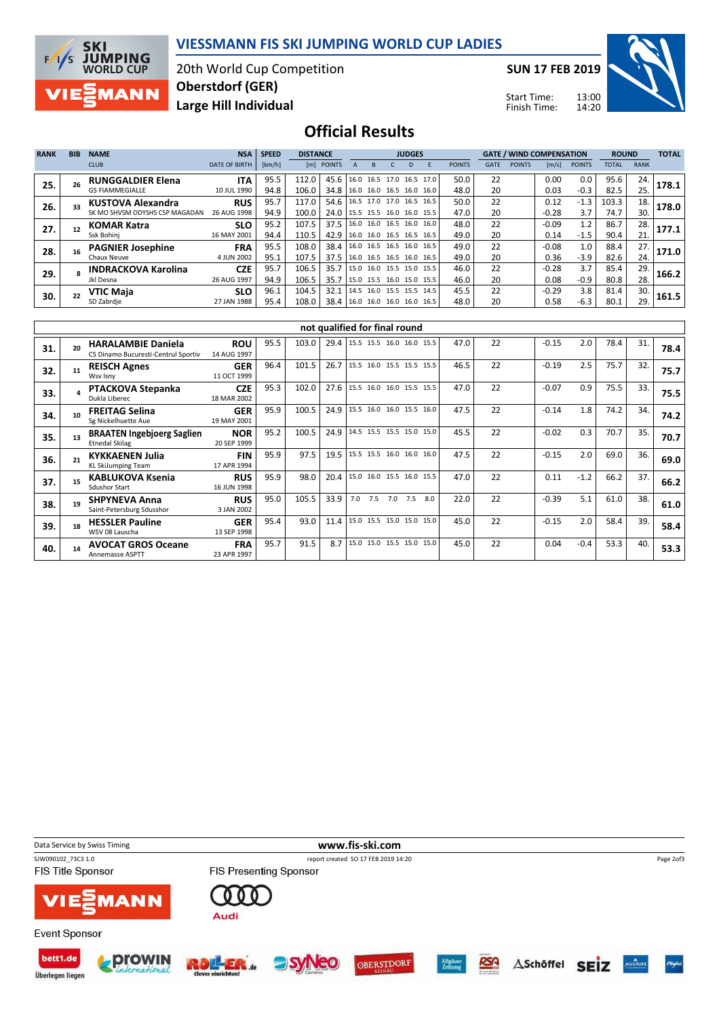



20th World Cup Competition Large Hill Individual Oberstdorf (GER)

SUN 17 FEB 2019

Start Time: Finish Time:



Official Results

| <b>RANK</b> | <b>BIB</b> | <b>NAME</b>                    | <b>NSA</b>           | <b>SPEED</b> | <b>DISTANCE</b> |                                 |  | <b>JUDGES</b>            |  |    |                          |               |             | <b>GATE / WIND COMPENSATION</b> |                       | <b>ROUND</b>  |       | <b>TOTAL</b> |       |
|-------------|------------|--------------------------------|----------------------|--------------|-----------------|---------------------------------|--|--------------------------|--|----|--------------------------|---------------|-------------|---------------------------------|-----------------------|---------------|-------|--------------|-------|
|             |            | <b>CLUB</b>                    | <b>DATE OF BIRTH</b> | [km/h]       |                 | [m] POINTS                      |  | R                        |  | D. |                          | <b>POINTS</b> | <b>GATE</b> | <b>POINTS</b>                   | $\lfloor m/s \rfloor$ | <b>POINTS</b> | TOTAL | <b>RANK</b>  |       |
| 25.         |            | <b>RUNGGALDIER Elena</b>       | <b>ITA</b>           | 95.5         | 112.0           | 45.6                            |  |                          |  |    | 16.0 16.5 17.0 16.5 17.0 | 50.0          | 22          |                                 | 0.00                  | 0.0           | 95.6  | 24.          | 178.1 |
|             |            | <b>GS FIAMMEGIALLE</b>         | 10 JUL 1990          | 94.8         | 106.0           | 34.8                            |  |                          |  |    | 16.0 16.0 16.5 16.0 16.0 | 48.0          | 20          |                                 | 0.03                  | $-0.3$        | 82.5  | 25.          |       |
| 26.         | 33         | <b>KUSTOVA Alexandra</b>       | <b>RUS</b>           | 95.7         | 117.0           | 54.6                            |  | 16.5 17.0 17.0 16.5 16.5 |  |    |                          | 50.0          | 22          |                                 | 0.12                  | $-1.3$        | 103.3 | 18.          | 178.0 |
|             |            | SK MO SHVSM ODYSHS CSP MAGADAN | 26 AUG 1998          | 94.9         | 100.0           | 24.0   15.5 15.5 16.0 16.0 15.5 |  |                          |  |    |                          | 47.0          | 20          |                                 | $-0.28$               | 3.7           | 74.7  | 30.          |       |
| 27.         | 12         | <b>KOMAR Katra</b>             | <b>SLO</b>           | 95.2         | 107.5           | 37.5                            |  | 16.0 16.0 16.5 16.0 16.0 |  |    |                          | 48.0          | 22          |                                 | $-0.09$               | 1.2           | 86.7  | 28.          | 177.1 |
|             |            | Ssk Bohini                     | 16 MAY 2001          | 94.4         | 110.5           | 42.9                            |  |                          |  |    | 16.0 16.0 16.5 16.5 16.5 | 49.0          | 20          |                                 | 0.14                  | $-1.5$        | 90.4  | 21.          |       |
| 28.         |            | <b>PAGNIER Josephine</b>       | <b>FRA</b>           | 95.5         | 108.0           | 38.4                            |  | 16.0 16.5 16.5 16.0 16.5 |  |    |                          | 49.0          | 22          |                                 | $-0.08$               | 1.0           | 88.4  | 27.          | 171.0 |
|             |            | Chaux Neuve                    | 4 JUN 2002           | 95.1         | 107.5           | 37.5                            |  |                          |  |    | 16.0 16.5 16.5 16.0 16.5 | 49.0          | 20          |                                 | 0.36                  | $-3.9$        | 82.6  | 24.          |       |
| 29.         |            | <b>INDRACKOVA Karolina</b>     | <b>CZE</b>           | 95.7         | 106.5           | 35.7                            |  |                          |  |    | 15.0 16.0 15.5 15.0 15.5 | 46.0          | 22          |                                 | $-0.28$               | 3.7           | 85.4  | 29.          | 166.2 |
|             |            | Jkl Desna                      | 26 AUG 1997          | 94.9         | 106.5           | 35.7                            |  |                          |  |    | 15.0 15.5 16.0 15.0 15.5 | 46.0          | 20          |                                 | 0.08                  | $-0.9$        | 80.8  | 28.          |       |
| 30.         |            | <b>VTIC Maia</b>               | <b>SLO</b>           | 96.1         | 104.5           | 32.1                            |  | 14.5 16.0 15.5 15.5 14.5 |  |    |                          | 45.5          | 22          |                                 | $-0.29$               | 3.8           | 81.4  | 30.          | 161.5 |
|             |            | SD Zabrdje                     | 27 JAN 1988          | 95.4         | 108.0           | 38.4                            |  |                          |  |    | 16.0 16.0 16.0 16.0 16.5 | 48.0          | 20          |                                 | 0.58                  | $-6.3$        | 80.1  | 29.          |       |

|     |    |                                                                  |                           |      |       |      | not qualified for final round |     |     |     |      |    |         |        |      |     |      |
|-----|----|------------------------------------------------------------------|---------------------------|------|-------|------|-------------------------------|-----|-----|-----|------|----|---------|--------|------|-----|------|
| 31. |    | <b>HARALAMBIE Daniela</b><br>CS Dinamo Bucuresti-Centrul Sportiv | <b>ROU</b><br>14 AUG 1997 | 95.5 | 103.0 | 29.4 | 15.5 15.5 16.0 16.0 15.5      |     |     |     | 47.0 | 22 | $-0.15$ | 2.0    | 78.4 | 31. | 78.4 |
| 32. |    | <b>REISCH Agnes</b><br>Wsv Isny                                  | <b>GER</b><br>11 OCT 1999 | 96.4 | 101.5 | 26.7 | 15.5 16.0 15.5 15.5 15.5      |     |     |     | 46.5 | 22 | $-0.19$ | 2.5    | 75.7 | 32. | 75.7 |
| 33. |    | <b>PTACKOVA Stepanka</b><br>Dukla Liberec                        | <b>CZE</b><br>18 MAR 2002 | 95.3 | 102.0 | 27.6 | 15.5 16.0 16.0 15.5 15.5      |     |     |     | 47.0 | 22 | $-0.07$ | 0.9    | 75.5 | 33. | 75.5 |
| 34. |    | <b>FREITAG Selina</b><br>Sg Nickelhuette Aue                     | <b>GER</b><br>19 MAY 2001 | 95.9 | 100.5 | 24.9 | 15.5 16.0 16.0 15.5 16.0      |     |     |     | 47.5 | 22 | $-0.14$ | 1.8    | 74.2 | 34. | 74.2 |
| 35. | 13 | <b>BRAATEN Ingebjoerg Saglien</b><br><b>Etnedal Skilag</b>       | <b>NOR</b><br>20 SEP 1999 | 95.2 | 100.5 | 24.9 | 14.5 15.5 15.5 15.0 15.0      |     |     |     | 45.5 | 22 | $-0.02$ | 0.3    | 70.7 | 35. | 70.7 |
| 36. | 21 | <b>KYKKAENEN Julia</b><br><b>KL SkiJumping Team</b>              | <b>FIN</b><br>17 APR 1994 | 95.9 | 97.5  | 19.5 | 15.5 15.5 16.0 16.0 16.0      |     |     |     | 47.5 | 22 | $-0.15$ | 2.0    | 69.0 | 36. | 69.0 |
| 37. |    | <b>KABLUKOVA Ksenia</b><br><b>Sdushor Start</b>                  | <b>RUS</b><br>16 JUN 1998 | 95.9 | 98.0  | 20.4 | 15.0 16.0 15.5 16.0 15.5      |     |     |     | 47.0 | 22 | 0.11    | $-1.2$ | 66.2 | 37. | 66.2 |
| 38. | 19 | <b>SHPYNEVA Anna</b><br>Saint-Petersburg Sdusshor                | <b>RUS</b><br>3 JAN 2002  | 95.0 | 105.5 | 33.9 | 7.5<br>7.0                    | 7.0 | 7.5 | 8.0 | 22.0 | 22 | $-0.39$ | 5.1    | 61.0 | 38. | 61.0 |
| 39. | 18 | <b>HESSLER Pauline</b><br>WSV 08 Lauscha                         | <b>GER</b><br>13 SEP 1998 | 95.4 | 93.0  | 11.4 | 15.0 15.5 15.0 15.0 15.0      |     |     |     | 45.0 | 22 | $-0.15$ | 2.0    | 58.4 | 39. | 58.4 |
| 40. |    | <b>AVOCAT GROS Oceane</b><br>Annemasse ASPTT                     | <b>FRA</b><br>23 APR 1997 | 95.7 | 91.5  | 8.7  | 15.0 15.0 15.5 15.0 15.0      |     |     |     | 45.0 | 22 | 0.04    | $-0.4$ | 53.3 | 40. | 53.3 |